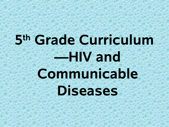# **5 th Grade Curriculum —HIV and Communicable Diseases**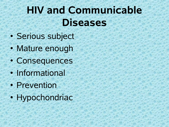## **HIV and Communicable Diseases**

- Serious subject
- Mature enough
- Consequences
- Informational
- Prevention
- Hypochondriac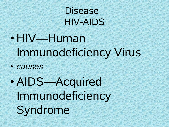#### Disease HIV-AIDS

• HIV—Human Immunodeficiency Virus

- *causes*
- AIDS—Acquired Immunodeficiency Syndrome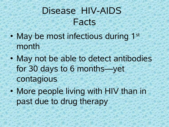#### Disease HIV-AIDS Facts

- May be most infectious during 1st month
- May not be able to detect antibodies for 30 days to 6 months—yet contagious
- More people living with HIV than in past due to drug therapy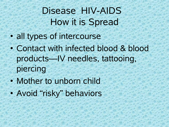### Disease HIV-AIDS How it is Spread

- all types of intercourse
- Contact with infected blood & blood products—IV needles, tattooing, piercing
- Mother to unborn child
- Avoid "risky" behaviors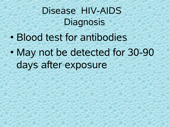### Disease HIV-AIDS **Diagnosis**

• Blood test for antibodies • May not be detected for 30-90 days after exposure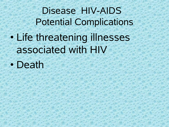Disease HIV-AIDS Potential Complications • Life threatening illnesses associated with HIV

• Death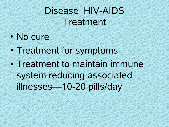#### Disease HIV-AIDS Treatment

#### • No cure

- Treatment for symptoms
- Treatment to maintain immune system reducing associated illnesses—10-20 pills/day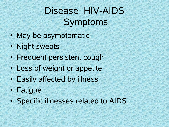#### Disease HIV-AIDS Symptoms

- May be asymptomatic
- Night sweats
- Frequent persistent cough
- Loss of weight or appetite
- Easily affected by illness
- Fatigue
- Specific illnesses related to AIDS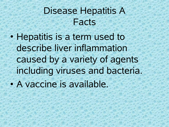#### Disease Hepatitis A Facts

• Hepatitis is a term used to describe liver inflammation caused by a variety of agents including viruses and bacteria. • A vaccine is available.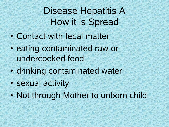#### Disease Hepatitis A How it is Spread

- Contact with fecal matter
- eating contaminated raw or undercooked food
- drinking contaminated water
- sexual activity
- Not through Mother to unborn child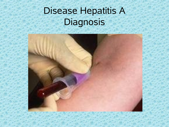## Disease Hepatitis A Diagnosis

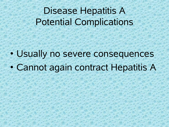#### Disease Hepatitis A Potential Complications

• Usually no severe consequences • Cannot again contract Hepatitis A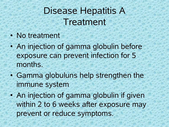#### Disease Hepatitis A Treatment

- No treatment
- An injection of gamma globulin before exposure can prevent infection for 5 months.
- Gamma globuluns help strengthen the immune system
- An injection of gamma globulin if given within 2 to 6 weeks after exposure may prevent or reduce symptoms.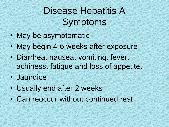#### Disease Hepatitis A Symptoms

- May be asymptomatic
- May begin 4-6 weeks after exposure
- Diarrhea, nausea, vomiting, fever, achiness, fatigue and loss of appetite.
- Jaundice
- Usually end after 2 weeks
- Can reoccur without continued rest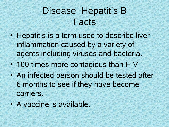#### DiseaseHepatitis B Facts

- Hepatitis is a term used to describe liver inflammation caused by a variety of agents including viruses and bacteria.
- 100 times more contagious than HIV
- An infected person should be tested after 6 months to see if they have become carriers.
- A vaccine is available.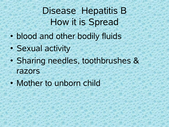#### DiseaseHepatitis B How it is Spread

- blood and other bodily fluids
- Sexual activity
- Sharing needles, toothbrushes & razors
- Mother to unborn child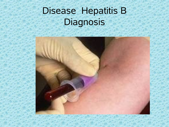### DiseaseHepatitis B Diagnosis

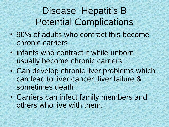#### DiseaseHepatitis B Potential Complications

- 90% of adults who contract this become chronic carriers
- infants who contract it while unborn usually become chronic carriers
- Can develop chronic liver problems which can lead to liver cancer, liver failure & sometimes death
- Carriers can infect family members and others who live with them.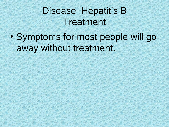#### DiseaseHepatitis B Treatment

• Symptoms for most people will go away without treatment.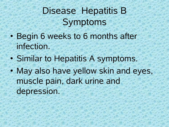#### DiseaseHepatitis B Symptoms

- Begin 6 weeks to 6 months after infection.
- Similar to Hepatitis A symptoms.
- May also have yellow skin and eyes, muscle pain, dark urine and depression.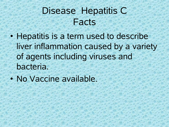#### DiseaseHepatitis C Facts

- Hepatitis is a term used to describe liver inflammation caused by a variety of agents including viruses and bacteria.
- No Vaccine available.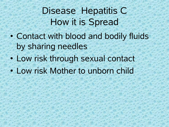#### DiseaseHepatitis C How it is Spread

- Contact with blood and bodily fluids by sharing needles
- Low risk through sexual contact
- Low risk Mother to unborn child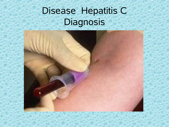## DiseaseHepatitis C **Diagnosis**

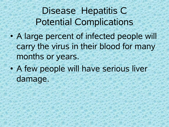DiseaseHepatitis C Potential Complications

- A large percent of infected people will carry the virus in their blood for many months or years.
- A few people will have serious liver damage.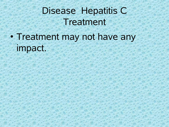#### DiseaseHepatitis C Treatment

• Treatment may not have any impact.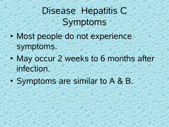#### DiseaseHepatitis C Symptoms

- Most people do not experience symptoms.
- May occur 2 weeks to 6 months after infection.
- Symptoms are similar to A & B.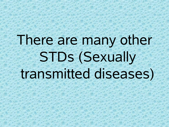## There are many other STDs (Sexually transmitted diseases)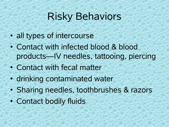#### Risky Behaviors

- all types of intercourse
- Contact with infected blood & blood products—IV needles, tattooing, piercing
- Contact with fecal matter
- drinking contaminated water
- Sharing needles, toothbrushes & razors
- Contact bodily fluids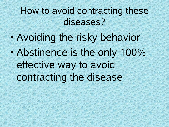#### How to avoid contracting these diseases?

• Avoiding the risky behavior • Abstinence is the only 100% effective way to avoid contracting the disease